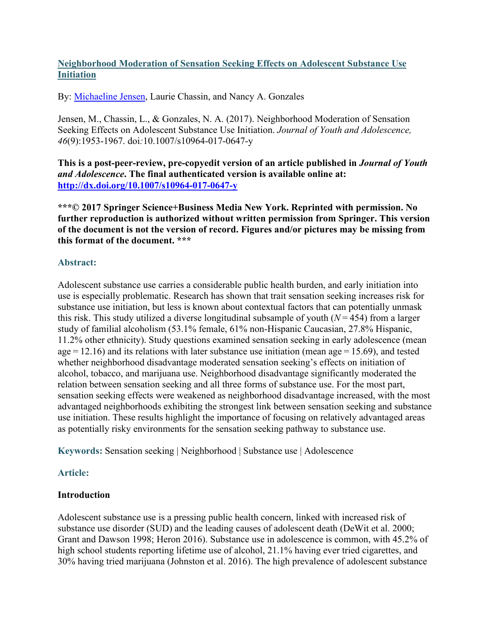# **Neighborhood Moderation of Sensation Seeking Effects on Adolescent Substance Use Initiation**

By: [Michaeline Jensen,](https://libres.uncg.edu/ir/uncg/clist.aspx?id=20603) Laurie Chassin, and Nancy A. Gonzales

Jensen, M., Chassin, L., & Gonzales, N. A. (2017). Neighborhood Moderation of Sensation Seeking Effects on Adolescent Substance Use Initiation. *Journal of Youth and Adolescence, 46*(9):1953-1967. doi*:*10.1007/s10964-017-0647-y

**This is a post-peer-review, pre-copyedit version of an article published in** *Journal of Youth and Adolescence***. The final authenticated version is available online at: <http://dx.doi.org/10.1007/s10964-017-0647-y>**

**\*\*\*© 2017 Springer Science+Business Media New York. Reprinted with permission. No further reproduction is authorized without written permission from Springer. This version of the document is not the version of record. Figures and/or pictures may be missing from this format of the document. \*\*\***

# **Abstract:**

Adolescent substance use carries a considerable public health burden, and early initiation into use is especially problematic. Research has shown that trait sensation seeking increases risk for substance use initiation, but less is known about contextual factors that can potentially unmask this risk. This study utilized a diverse longitudinal subsample of youth  $(N=454)$  from a larger study of familial alcoholism (53.1% female, 61% non-Hispanic Caucasian, 27.8% Hispanic, 11.2% other ethnicity). Study questions examined sensation seeking in early adolescence (mean  $age = 12.16$ ) and its relations with later substance use initiation (mean age = 15.69), and tested whether neighborhood disadvantage moderated sensation seeking's effects on initiation of alcohol, tobacco, and marijuana use. Neighborhood disadvantage significantly moderated the relation between sensation seeking and all three forms of substance use. For the most part, sensation seeking effects were weakened as neighborhood disadvantage increased, with the most advantaged neighborhoods exhibiting the strongest link between sensation seeking and substance use initiation. These results highlight the importance of focusing on relatively advantaged areas as potentially risky environments for the sensation seeking pathway to substance use.

**Keywords:** Sensation seeking | Neighborhood | Substance use | Adolescence

# **Article:**

# **Introduction**

Adolescent substance use is a pressing public health concern, linked with increased risk of substance use disorder (SUD) and the leading causes of adolescent death (DeWit et al. 2000; Grant and Dawson 1998; Heron 2016). Substance use in adolescence is common, with 45.2% of high school students reporting lifetime use of alcohol, 21.1% having ever tried cigarettes, and 30% having tried marijuana (Johnston et al. 2016). The high prevalence of adolescent substance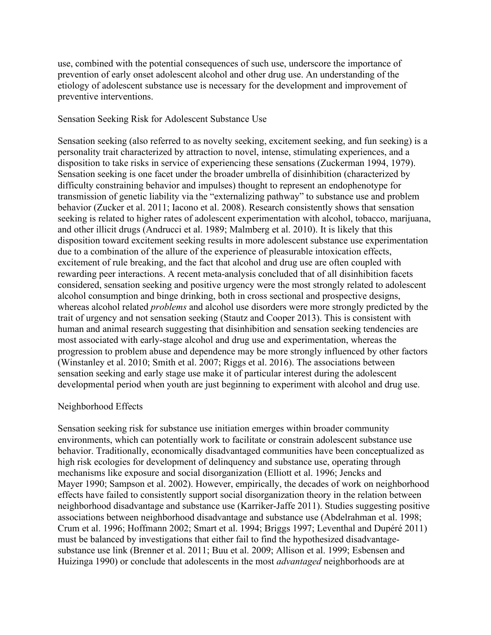use, combined with the potential consequences of such use, underscore the importance of prevention of early onset adolescent alcohol and other drug use. An understanding of the etiology of adolescent substance use is necessary for the development and improvement of preventive interventions.

Sensation Seeking Risk for Adolescent Substance Use

Sensation seeking (also referred to as novelty seeking, excitement seeking, and fun seeking) is a personality trait characterized by attraction to novel, intense, stimulating experiences, and a disposition to take risks in service of experiencing these sensations (Zuckerman 1994, 1979). Sensation seeking is one facet under the broader umbrella of disinhibition (characterized by difficulty constraining behavior and impulses) thought to represent an endophenotype for transmission of genetic liability via the "externalizing pathway" to substance use and problem behavior (Zucker et al. 2011; Iacono et al. 2008). Research consistently shows that sensation seeking is related to higher rates of adolescent experimentation with alcohol, tobacco, marijuana, and other illicit drugs (Andrucci et al. 1989; Malmberg et al. 2010). It is likely that this disposition toward excitement seeking results in more adolescent substance use experimentation due to a combination of the allure of the experience of pleasurable intoxication effects, excitement of rule breaking, and the fact that alcohol and drug use are often coupled with rewarding peer interactions. A recent meta-analysis concluded that of all disinhibition facets considered, sensation seeking and positive urgency were the most strongly related to adolescent alcohol consumption and binge drinking, both in cross sectional and prospective designs, whereas alcohol related *problems* and alcohol use disorders were more strongly predicted by the trait of urgency and not sensation seeking (Stautz and Cooper 2013). This is consistent with human and animal research suggesting that disinhibition and sensation seeking tendencies are most associated with early-stage alcohol and drug use and experimentation, whereas the progression to problem abuse and dependence may be more strongly influenced by other factors (Winstanley et al. 2010; Smith et al. 2007; Riggs et al. 2016). The associations between sensation seeking and early stage use make it of particular interest during the adolescent developmental period when youth are just beginning to experiment with alcohol and drug use.

## Neighborhood Effects

Sensation seeking risk for substance use initiation emerges within broader community environments, which can potentially work to facilitate or constrain adolescent substance use behavior. Traditionally, economically disadvantaged communities have been conceptualized as high risk ecologies for development of delinquency and substance use, operating through mechanisms like exposure and social disorganization (Elliott et al. 1996; Jencks and Mayer 1990; Sampson et al. 2002). However, empirically, the decades of work on neighborhood effects have failed to consistently support social disorganization theory in the relation between neighborhood disadvantage and substance use (Karriker-Jaffe 2011). Studies suggesting positive associations between neighborhood disadvantage and substance use (Abdelrahman et al. 1998; Crum et al. 1996; Hoffmann 2002; Smart et al. 1994; Briggs 1997; Leventhal and Dupéré 2011) must be balanced by investigations that either fail to find the hypothesized disadvantagesubstance use link (Brenner et al. 2011; Buu et al. 2009; Allison et al. 1999; Esbensen and Huizinga 1990) or conclude that adolescents in the most *advantaged* neighborhoods are at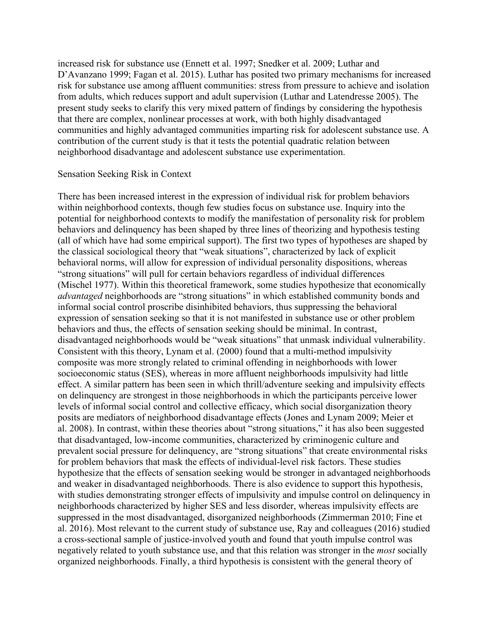increased risk for substance use (Ennett et al. 1997; Snedker et al. 2009; Luthar and D'Avanzano 1999; Fagan et al. 2015). Luthar has posited two primary mechanisms for increased risk for substance use among affluent communities: stress from pressure to achieve and isolation from adults, which reduces support and adult supervision (Luthar and Latendresse 2005). The present study seeks to clarify this very mixed pattern of findings by considering the hypothesis that there are complex, nonlinear processes at work, with both highly disadvantaged communities and highly advantaged communities imparting risk for adolescent substance use. A contribution of the current study is that it tests the potential quadratic relation between neighborhood disadvantage and adolescent substance use experimentation.

#### Sensation Seeking Risk in Context

There has been increased interest in the expression of individual risk for problem behaviors within neighborhood contexts, though few studies focus on substance use. Inquiry into the potential for neighborhood contexts to modify the manifestation of personality risk for problem behaviors and delinquency has been shaped by three lines of theorizing and hypothesis testing (all of which have had some empirical support). The first two types of hypotheses are shaped by the classical sociological theory that "weak situations", characterized by lack of explicit behavioral norms, will allow for expression of individual personality dispositions, whereas "strong situations" will pull for certain behaviors regardless of individual differences (Mischel 1977). Within this theoretical framework, some studies hypothesize that economically *advantaged* neighborhoods are "strong situations" in which established community bonds and informal social control proscribe disinhibited behaviors, thus suppressing the behavioral expression of sensation seeking so that it is not manifested in substance use or other problem behaviors and thus, the effects of sensation seeking should be minimal. In contrast, disadvantaged neighborhoods would be "weak situations" that unmask individual vulnerability. Consistent with this theory, Lynam et al. (2000) found that a multi-method impulsivity composite was more strongly related to criminal offending in neighborhoods with lower socioeconomic status (SES), whereas in more affluent neighborhoods impulsivity had little effect. A similar pattern has been seen in which thrill/adventure seeking and impulsivity effects on delinquency are strongest in those neighborhoods in which the participants perceive lower levels of informal social control and collective efficacy, which social disorganization theory posits are mediators of neighborhood disadvantage effects (Jones and Lynam 2009; Meier et al. 2008). In contrast, within these theories about "strong situations," it has also been suggested that disadvantaged, low-income communities, characterized by criminogenic culture and prevalent social pressure for delinquency, are "strong situations" that create environmental risks for problem behaviors that mask the effects of individual-level risk factors. These studies hypothesize that the effects of sensation seeking would be stronger in advantaged neighborhoods and weaker in disadvantaged neighborhoods. There is also evidence to support this hypothesis, with studies demonstrating stronger effects of impulsivity and impulse control on delinquency in neighborhoods characterized by higher SES and less disorder, whereas impulsivity effects are suppressed in the most disadvantaged, disorganized neighborhoods (Zimmerman 2010; Fine et al. 2016). Most relevant to the current study of substance use, Ray and colleagues (2016) studied a cross-sectional sample of justice-involved youth and found that youth impulse control was negatively related to youth substance use, and that this relation was stronger in the *most* socially organized neighborhoods. Finally, a third hypothesis is consistent with the general theory of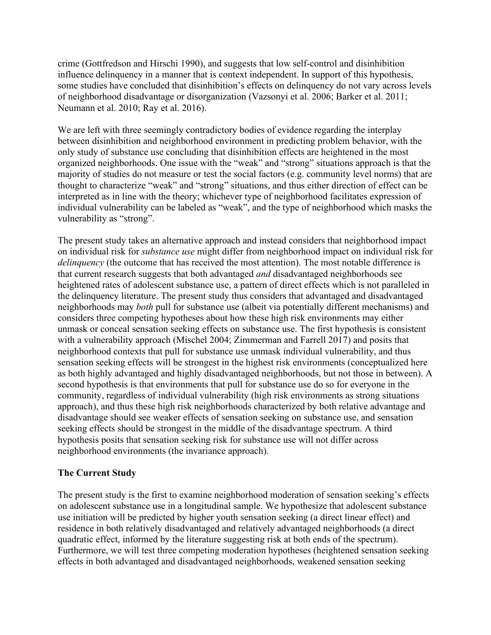crime (Gottfredson and Hirschi 1990), and suggests that low self-control and disinhibition influence delinquency in a manner that is context independent. In support of this hypothesis, some studies have concluded that disinhibition's effects on delinquency do not vary across levels of neighborhood disadvantage or disorganization (Vazsonyi et al. 2006; Barker et al. 2011; Neumann et al. 2010; Ray et al. 2016).

We are left with three seemingly contradictory bodies of evidence regarding the interplay between disinhibition and neighborhood environment in predicting problem behavior, with the only study of substance use concluding that disinhibition effects are heightened in the most organized neighborhoods. One issue with the "weak" and "strong" situations approach is that the majority of studies do not measure or test the social factors (e.g. community level norms) that are thought to characterize "weak" and "strong" situations, and thus either direction of effect can be interpreted as in line with the theory; whichever type of neighborhood facilitates expression of individual vulnerability can be labeled as "weak", and the type of neighborhood which masks the vulnerability as "strong".

The present study takes an alternative approach and instead considers that neighborhood impact on individual risk for *substance use* might differ from neighborhood impact on individual risk for *delinquency* (the outcome that has received the most attention). The most notable difference is that current research suggests that both advantaged *and* disadvantaged neighborhoods see heightened rates of adolescent substance use, a pattern of direct effects which is not paralleled in the delinquency literature. The present study thus considers that advantaged and disadvantaged neighborhoods may *both* pull for substance use (albeit via potentially different mechanisms) and considers three competing hypotheses about how these high risk environments may either unmask or conceal sensation seeking effects on substance use. The first hypothesis is consistent with a vulnerability approach (Mischel 2004; Zimmerman and Farrell 2017) and posits that neighborhood contexts that pull for substance use unmask individual vulnerability, and thus sensation seeking effects will be strongest in the highest risk environments (conceptualized here as both highly advantaged and highly disadvantaged neighborhoods, but not those in between). A second hypothesis is that environments that pull for substance use do so for everyone in the community, regardless of individual vulnerability (high risk environments as strong situations approach), and thus these high risk neighborhoods characterized by both relative advantage and disadvantage should see weaker effects of sensation seeking on substance use, and sensation seeking effects should be strongest in the middle of the disadvantage spectrum. A third hypothesis posits that sensation seeking risk for substance use will not differ across neighborhood environments (the invariance approach).

# **The Current Study**

The present study is the first to examine neighborhood moderation of sensation seeking's effects on adolescent substance use in a longitudinal sample. We hypothesize that adolescent substance use initiation will be predicted by higher youth sensation seeking (a direct linear effect) and residence in both relatively disadvantaged and relatively advantaged neighborhoods (a direct quadratic effect, informed by the literature suggesting risk at both ends of the spectrum). Furthermore, we will test three competing moderation hypotheses (heightened sensation seeking effects in both advantaged and disadvantaged neighborhoods, weakened sensation seeking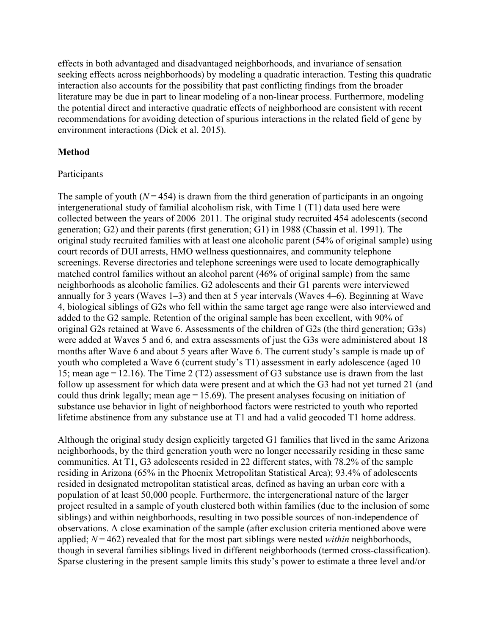effects in both advantaged and disadvantaged neighborhoods, and invariance of sensation seeking effects across neighborhoods) by modeling a quadratic interaction. Testing this quadratic interaction also accounts for the possibility that past conflicting findings from the broader literature may be due in part to linear modeling of a non-linear process. Furthermore, modeling the potential direct and interactive quadratic effects of neighborhood are consistent with recent recommendations for avoiding detection of spurious interactions in the related field of gene by environment interactions (Dick et al. 2015).

### **Method**

#### Participants

The sample of youth  $(N=454)$  is drawn from the third generation of participants in an ongoing intergenerational study of familial alcoholism risk, with Time 1 (T1) data used here were collected between the years of 2006–2011. The original study recruited 454 adolescents (second generation; G2) and their parents (first generation; G1) in 1988 (Chassin et al. 1991). The original study recruited families with at least one alcoholic parent (54% of original sample) using court records of DUI arrests, HMO wellness questionnaires, and community telephone screenings. Reverse directories and telephone screenings were used to locate demographically matched control families without an alcohol parent (46% of original sample) from the same neighborhoods as alcoholic families. G2 adolescents and their G1 parents were interviewed annually for 3 years (Waves 1–3) and then at 5 year intervals (Waves 4–6). Beginning at Wave 4, biological siblings of G2s who fell within the same target age range were also interviewed and added to the G2 sample. Retention of the original sample has been excellent, with 90% of original G2s retained at Wave 6. Assessments of the children of G2s (the third generation; G3s) were added at Waves 5 and 6, and extra assessments of just the G3s were administered about 18 months after Wave 6 and about 5 years after Wave 6. The current study's sample is made up of youth who completed a Wave 6 (current study's T1) assessment in early adolescence (aged 10– 15; mean age = 12.16). The Time 2 (T2) assessment of G3 substance use is drawn from the last follow up assessment for which data were present and at which the G3 had not yet turned 21 (and could thus drink legally; mean age = 15.69). The present analyses focusing on initiation of substance use behavior in light of neighborhood factors were restricted to youth who reported lifetime abstinence from any substance use at T1 and had a valid geocoded T1 home address.

Although the original study design explicitly targeted G1 families that lived in the same Arizona neighborhoods, by the third generation youth were no longer necessarily residing in these same communities. At T1, G3 adolescents resided in 22 different states, with 78.2% of the sample residing in Arizona (65% in the Phoenix Metropolitan Statistical Area); 93.4% of adolescents resided in designated metropolitan statistical areas, defined as having an urban core with a population of at least 50,000 people. Furthermore, the intergenerational nature of the larger project resulted in a sample of youth clustered both within families (due to the inclusion of some siblings) and within neighborhoods, resulting in two possible sources of non-independence of observations. A close examination of the sample (after exclusion criteria mentioned above were applied;  $N = 462$ ) revealed that for the most part siblings were nested *within* neighborhoods, though in several families siblings lived in different neighborhoods (termed cross-classification). Sparse clustering in the present sample limits this study's power to estimate a three level and/or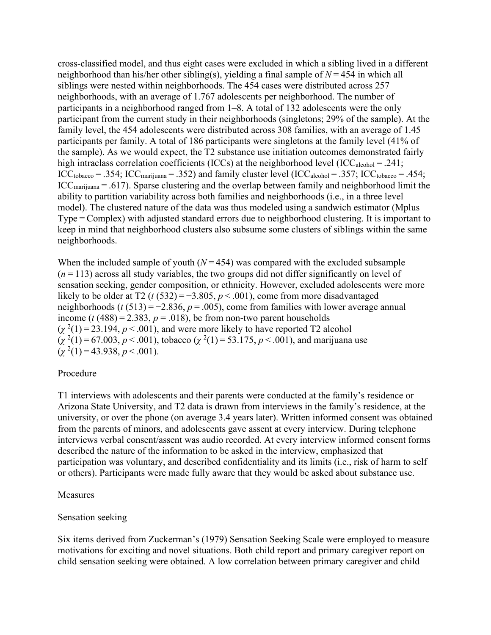cross-classified model, and thus eight cases were excluded in which a sibling lived in a different neighborhood than his/her other sibling(s), yielding a final sample of  $N = 454$  in which all siblings were nested within neighborhoods. The 454 cases were distributed across 257 neighborhoods, with an average of 1.767 adolescents per neighborhood. The number of participants in a neighborhood ranged from 1–8. A total of 132 adolescents were the only participant from the current study in their neighborhoods (singletons; 29% of the sample). At the family level, the 454 adolescents were distributed across 308 families, with an average of 1.45 participants per family. A total of 186 participants were singletons at the family level (41% of the sample). As we would expect, the T2 substance use initiation outcomes demonstrated fairly high intraclass correlation coefficients (ICCs) at the neighborhood level (ICC<sub>alcohol</sub> = .241;  $ICC_{tobacco} = .354$ ;  $ICC_{marijuana} = .352$ ) and family cluster level ( $ICC_{alcohol} = .357$ ;  $ICC_{tobacco} = .454$ ;  $ICC_{\text{marijuana}} = .617$ ). Sparse clustering and the overlap between family and neighborhood limit the ability to partition variability across both families and neighborhoods (i.e., in a three level model). The clustered nature of the data was thus modeled using a sandwich estimator (Mplus Type = Complex) with adjusted standard errors due to neighborhood clustering. It is important to keep in mind that neighborhood clusters also subsume some clusters of siblings within the same neighborhoods.

When the included sample of youth  $(N=454)$  was compared with the excluded subsample  $(n=113)$  across all study variables, the two groups did not differ significantly on level of sensation seeking, gender composition, or ethnicity. However, excluded adolescents were more likely to be older at T2 ( $t$  (532)<sup> $=-3.805, p<.001$ ), come from more disadvantaged</sup> neighborhoods (*t* (513) = −2.836, *p* = .005), come from families with lower average annual income ( $t$  (488) = 2.383,  $p = .018$ ), be from non-two parent households  $(\chi^2(1) = 23.194, p < .001)$ , and were more likely to have reported T2 alcohol  $(\chi^2(1) = 67.003, p < .001)$ , tobacco  $(\chi^2(1) = 53.175, p < .001)$ , and marijuana use  $(\chi^2(1) = 43.938, p < .001).$ 

#### Procedure

T1 interviews with adolescents and their parents were conducted at the family's residence or Arizona State University, and T2 data is drawn from interviews in the family's residence, at the university, or over the phone (on average 3.4 years later). Written informed consent was obtained from the parents of minors, and adolescents gave assent at every interview. During telephone interviews verbal consent/assent was audio recorded. At every interview informed consent forms described the nature of the information to be asked in the interview, emphasized that participation was voluntary, and described confidentiality and its limits (i.e., risk of harm to self or others). Participants were made fully aware that they would be asked about substance use.

## Measures

## Sensation seeking

Six items derived from Zuckerman's (1979) Sensation Seeking Scale were employed to measure motivations for exciting and novel situations. Both child report and primary caregiver report on child sensation seeking were obtained. A low correlation between primary caregiver and child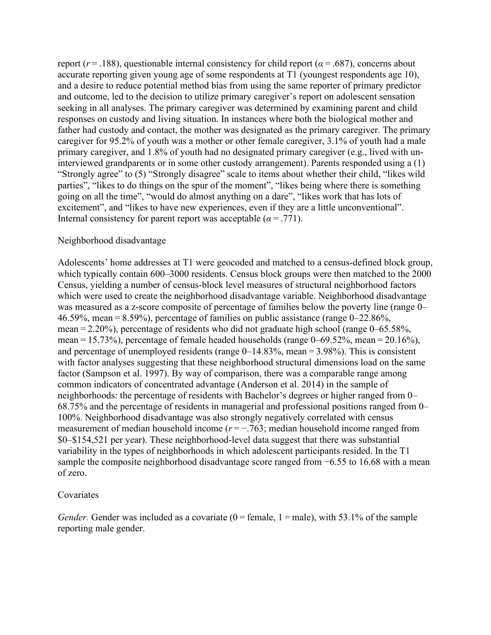report ( $r = .188$ ), questionable internal consistency for child report ( $\alpha = .687$ ), concerns about accurate reporting given young age of some respondents at T1 (youngest respondents age 10), and a desire to reduce potential method bias from using the same reporter of primary predictor and outcome, led to the decision to utilize primary caregiver's report on adolescent sensation seeking in all analyses. The primary caregiver was determined by examining parent and child responses on custody and living situation. In instances where both the biological mother and father had custody and contact, the mother was designated as the primary caregiver. The primary caregiver for 95.2% of youth was a mother or other female caregiver, 3.1% of youth had a male primary caregiver, and 1.8% of youth had no designated primary caregiver (e.g., lived with uninterviewed grandparents or in some other custody arrangement). Parents responded using a (1) "Strongly agree" to (5) "Strongly disagree" scale to items about whether their child, "likes wild parties", "likes to do things on the spur of the moment", "likes being where there is something going on all the time", "would do almost anything on a dare", "likes work that has lots of excitement", and "likes to have new experiences, even if they are a little unconventional". Internal consistency for parent report was acceptable  $(a = .771)$ .

### Neighborhood disadvantage

Adolescents' home addresses at T1 were geocoded and matched to a census-defined block group, which typically contain 600–3000 residents. Census block groups were then matched to the 2000 Census, yielding a number of census-block level measures of structural neighborhood factors which were used to create the neighborhood disadvantage variable. Neighborhood disadvantage was measured as a z-score composite of percentage of families below the poverty line (range 0– 46.59%, mean = 8.59%), percentage of families on public assistance (range 0–22.86%, mean = 2.20%), percentage of residents who did not graduate high school (range 0–65.58%, mean = 15.73%), percentage of female headed households (range 0–69.52%, mean = 20.16%), and percentage of unemployed residents (range  $0-14.83\%$ , mean = 3.98%). This is consistent with factor analyses suggesting that these neighborhood structural dimensions load on the same factor (Sampson et al. 1997). By way of comparison, there was a comparable range among common indicators of concentrated advantage (Anderson et al. 2014) in the sample of neighborhoods: the percentage of residents with Bachelor's degrees or higher ranged from 0– 68.75% and the percentage of residents in managerial and professional positions ranged from 0– 100%. Neighborhood disadvantage was also strongly negatively correlated with census measurement of median household income  $(r = -0.763)$ ; median household income ranged from \$0–\$154,521 per year). These neighborhood-level data suggest that there was substantial variability in the types of neighborhoods in which adolescent participants resided. In the T1 sample the composite neighborhood disadvantage score ranged from −6.55 to 16.68 with a mean of zero.

### Covariates

*Gender.* Gender was included as a covariate (0 = female, 1 = male), with 53.1% of the sample reporting male gender.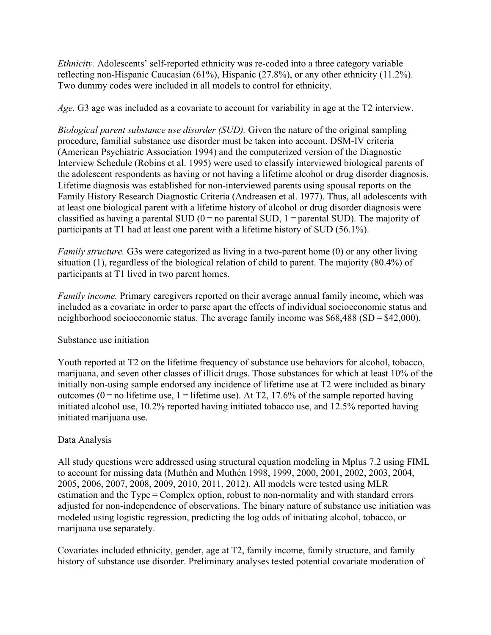*Ethnicity.* Adolescents' self-reported ethnicity was re-coded into a three category variable reflecting non-Hispanic Caucasian (61%), Hispanic (27.8%), or any other ethnicity (11.2%). Two dummy codes were included in all models to control for ethnicity.

*Age.* G3 age was included as a covariate to account for variability in age at the T2 interview.

*Biological parent substance use disorder (SUD).* Given the nature of the original sampling procedure, familial substance use disorder must be taken into account. DSM-IV criteria (American Psychiatric Association 1994) and the computerized version of the Diagnostic Interview Schedule (Robins et al. 1995) were used to classify interviewed biological parents of the adolescent respondents as having or not having a lifetime alcohol or drug disorder diagnosis. Lifetime diagnosis was established for non-interviewed parents using spousal reports on the Family History Research Diagnostic Criteria (Andreasen et al. 1977). Thus, all adolescents with at least one biological parent with a lifetime history of alcohol or drug disorder diagnosis were classified as having a parental SUD ( $0 = no$  parental SUD,  $1 =$  parental SUD). The majority of participants at T1 had at least one parent with a lifetime history of SUD (56.1%).

*Family structure.* G3s were categorized as living in a two-parent home (0) or any other living situation (1), regardless of the biological relation of child to parent. The majority (80.4%) of participants at T1 lived in two parent homes.

*Family income.* Primary caregivers reported on their average annual family income, which was included as a covariate in order to parse apart the effects of individual socioeconomic status and neighborhood socioeconomic status. The average family income was \$68,488 (SD = \$42,000).

# Substance use initiation

Youth reported at T2 on the lifetime frequency of substance use behaviors for alcohol, tobacco, marijuana, and seven other classes of illicit drugs. Those substances for which at least 10% of the initially non-using sample endorsed any incidence of lifetime use at T2 were included as binary outcomes ( $0 =$ no lifetime use,  $1 =$ lifetime use). At T2, 17.6% of the sample reported having initiated alcohol use, 10.2% reported having initiated tobacco use, and 12.5% reported having initiated marijuana use.

# Data Analysis

All study questions were addressed using structural equation modeling in Mplus 7.2 using FIML to account for missing data (Muthén and Muthén 1998, 1999, 2000, 2001, 2002, 2003, 2004, 2005, 2006, 2007, 2008, 2009, 2010, 2011, 2012). All models were tested using MLR estimation and the Type = Complex option, robust to non-normality and with standard errors adjusted for non-independence of observations. The binary nature of substance use initiation was modeled using logistic regression, predicting the log odds of initiating alcohol, tobacco, or marijuana use separately.

Covariates included ethnicity, gender, age at T2, family income, family structure, and family history of substance use disorder. Preliminary analyses tested potential covariate moderation of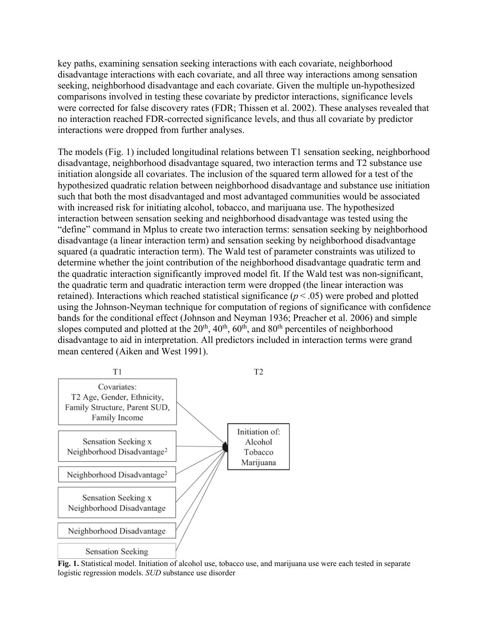key paths, examining sensation seeking interactions with each covariate, neighborhood disadvantage interactions with each covariate, and all three way interactions among sensation seeking, neighborhood disadvantage and each covariate. Given the multiple un-hypothesized comparisons involved in testing these covariate by predictor interactions, significance levels were corrected for false discovery rates (FDR; Thissen et al. 2002). These analyses revealed that no interaction reached FDR-corrected significance levels, and thus all covariate by predictor interactions were dropped from further analyses.

The models (Fig. 1) included longitudinal relations between T1 sensation seeking, neighborhood disadvantage, neighborhood disadvantage squared, two interaction terms and T2 substance use initiation alongside all covariates. The inclusion of the squared term allowed for a test of the hypothesized quadratic relation between neighborhood disadvantage and substance use initiation such that both the most disadvantaged and most advantaged communities would be associated with increased risk for initiating alcohol, tobacco, and marijuana use. The hypothesized interaction between sensation seeking and neighborhood disadvantage was tested using the "define" command in Mplus to create two interaction terms: sensation seeking by neighborhood disadvantage (a linear interaction term) and sensation seeking by neighborhood disadvantage squared (a quadratic interaction term). The Wald test of parameter constraints was utilized to determine whether the joint contribution of the neighborhood disadvantage quadratic term and the quadratic interaction significantly improved model fit. If the Wald test was non-significant, the quadratic term and quadratic interaction term were dropped (the linear interaction was retained). Interactions which reached statistical significance  $(p < .05)$  were probed and plotted using the Johnson-Neyman technique for computation of regions of significance with confidence bands for the conditional effect (Johnson and Neyman 1936; Preacher et al. 2006) and simple slopes computed and plotted at the  $20^{th}$ ,  $40^{th}$ ,  $60^{th}$ , and  $80^{th}$  percentiles of neighborhood disadvantage to aid in interpretation. All predictors included in interaction terms were grand mean centered (Aiken and West 1991).



**Fig. 1.** Statistical model. Initiation of alcohol use, tobacco use, and marijuana use were each tested in separate logistic regression models. *SUD* substance use disorder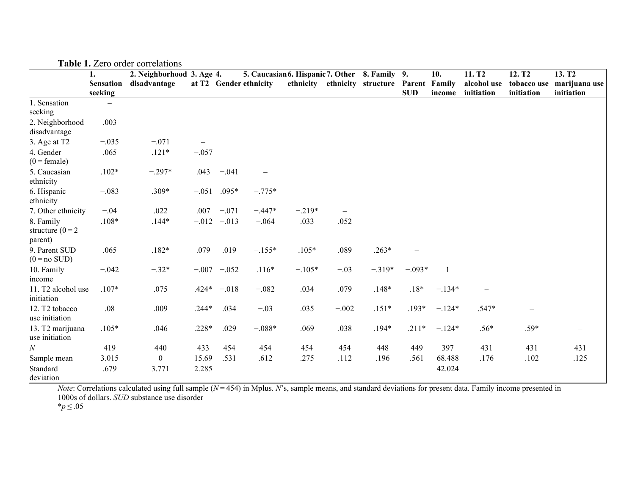|                                              | 1.<br>Sensation          | 2. Neighborhood 3. Age 4.<br>disadvantage |         |          | at T2 Gender ethnicity | 5. Caucasian 6. Hispanic 7. Other 8. Family 9.<br>ethnicity |                   | ethnicity structure Parent Family |            | 10.          | 11. T <sub>2</sub><br>alcohol use | 12. T <sub>2</sub>       | 13. T <sub>2</sub><br>tobacco use marijuana use |
|----------------------------------------------|--------------------------|-------------------------------------------|---------|----------|------------------------|-------------------------------------------------------------|-------------------|-----------------------------------|------------|--------------|-----------------------------------|--------------------------|-------------------------------------------------|
|                                              | seeking                  |                                           |         |          |                        |                                                             |                   |                                   | <b>SUD</b> | income       | initiation                        | initiation               | initiation                                      |
| 1. Sensation<br>seeking                      | $\overline{\phantom{m}}$ |                                           |         |          |                        |                                                             |                   |                                   |            |              |                                   |                          |                                                 |
| 2. Neighborhood<br>disadvantage              | .003                     |                                           |         |          |                        |                                                             |                   |                                   |            |              |                                   |                          |                                                 |
| 3. Age at T2                                 | $-.035$                  | $-.071$                                   |         |          |                        |                                                             |                   |                                   |            |              |                                   |                          |                                                 |
| 4. Gender<br>$(0 = female)$                  | .065                     | $.121*$                                   | $-.057$ | $\equiv$ |                        |                                                             |                   |                                   |            |              |                                   |                          |                                                 |
| 5. Caucasian<br>ethnicity                    | $.102*$                  | $-.297*$                                  | .043    | $-.041$  |                        |                                                             |                   |                                   |            |              |                                   |                          |                                                 |
| 6. Hispanic<br>ethnicity                     | $-.083$                  | $.309*$                                   | $-.051$ | $.095*$  | $-.775*$               |                                                             |                   |                                   |            |              |                                   |                          |                                                 |
| 7. Other ethnicity                           | $-.04$                   | .022                                      | .007    | $-.071$  | $-.447*$               | $-.219*$                                                    | $\qquad \qquad -$ |                                   |            |              |                                   |                          |                                                 |
| 8. Family<br>structure $(0 = 2)$<br>parent)  | $.108*$                  | $.144*$                                   | $-.012$ | $-.013$  | $-.064$                | .033                                                        | .052              |                                   |            |              |                                   |                          |                                                 |
| 9. Parent SUD<br>$(0 = no$ SUD)              | .065                     | $.182*$                                   | .079    | .019     | $-.155*$               | $.105*$                                                     | .089              | $.263*$                           |            |              |                                   |                          |                                                 |
| 10. Family<br>income                         | $-.042$                  | $-.32*$                                   | $-.007$ | $-.052$  | $.116*$                | $-.105*$                                                    | $-.03$            | $-.319*$                          | $-.093*$   | $\mathbf{1}$ |                                   |                          |                                                 |
| 11. T2 alcohol use<br>initiation             | $.107*$                  | .075                                      | $.424*$ | $-.018$  | $-.082$                | .034                                                        | .079              | $.148*$                           | $.18*$     | $-.134*$     | $\overline{\phantom{0}}$          |                          |                                                 |
| 12. T <sub>2</sub> tobacco<br>use initiation | $.08\,$                  | .009                                      | $.244*$ | .034     | $-.03$                 | .035                                                        | $-.002$           | $.151*$                           | $.193*$    | $-.124*$     | $.547*$                           | $\overline{\phantom{m}}$ |                                                 |
| 13. T2 marijuana<br>use initiation           | $.105*$                  | .046                                      | $.228*$ | .029     | $-.088*$               | .069                                                        | .038              | $.194*$                           | $.211*$    | $-.124*$     | $.56*$                            | $.59*$                   |                                                 |
| $\overline{N}$                               | 419                      | 440                                       | 433     | 454      | 454                    | 454                                                         | 454               | 448                               | 449        | 397          | 431                               | 431                      | 431                                             |
| Sample mean                                  | 3.015                    | $\boldsymbol{0}$                          | 15.69   | .531     | .612                   | .275                                                        | .112              | .196                              | .561       | 68.488       | .176                              | .102                     | .125                                            |
| Standard<br>deviation                        | .679                     | 3.771                                     | 2.285   |          |                        |                                                             |                   |                                   |            | 42.024       |                                   |                          |                                                 |

Table 1. Zero order correlations

*Note*: Correlations calculated using full sample (*N* = 454) in Mplus. *N*'s, sample means, and standard deviations for present data. Family income presented in 1000s of dollars. *SUD* substance use disorder

\**p* ≤ .05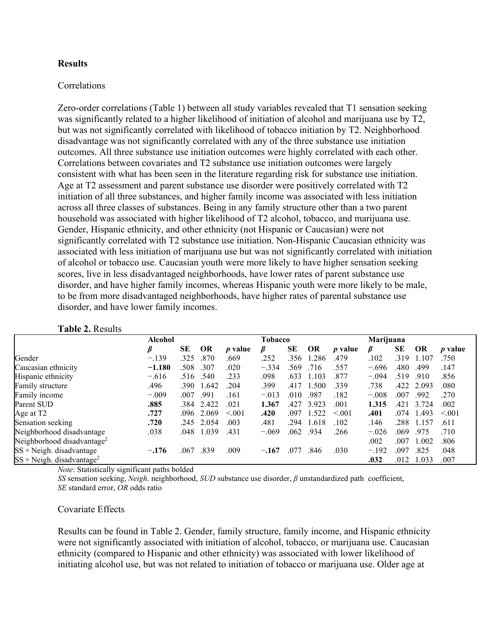### **Results**

### Correlations

Zero-order correlations (Table 1) between all study variables revealed that T1 sensation seeking was significantly related to a higher likelihood of initiation of alcohol and marijuana use by T2, but was not significantly correlated with likelihood of tobacco initiation by T2. Neighborhood disadvantage was not significantly correlated with any of the three substance use initiation outcomes. All three substance use initiation outcomes were highly correlated with each other. Correlations between covariates and T2 substance use initiation outcomes were largely consistent with what has been seen in the literature regarding risk for substance use initiation. Age at T2 assessment and parent substance use disorder were positively correlated with T2 initiation of all three substances, and higher family income was associated with less initiation across all three classes of substances. Being in any family structure other than a two parent household was associated with higher likelihood of T2 alcohol, tobacco, and marijuana use. Gender, Hispanic ethnicity, and other ethnicity (not Hispanic or Caucasian) were not significantly correlated with T2 substance use initiation. Non-Hispanic Caucasian ethnicity was associated with less initiation of marijuana use but was not significantly correlated with initiation of alcohol or tobacco use. Caucasian youth were more likely to have higher sensation seeking scores, live in less disadvantaged neighborhoods, have lower rates of parent substance use disorder, and have higher family incomes, whereas Hispanic youth were more likely to be male, to be from more disadvantaged neighborhoods, have higher rates of parental substance use disorder, and have lower family incomes.

|                                                         | <b>Alcohol</b> |           |            | Tobacco        |         |      |           | Marijuana      |         |      |                    |                |
|---------------------------------------------------------|----------------|-----------|------------|----------------|---------|------|-----------|----------------|---------|------|--------------------|----------------|
|                                                         | ß              | <b>SE</b> | <b>OR</b>  | <i>p</i> value | B       | SЕ   | <b>OR</b> | <i>p</i> value | ß       | SE   | OR                 | <i>p</i> value |
| Gender                                                  | $-.139$        | .325      | .870       | .669           | .252    | .356 | 1.286     | .479           | .102    | .319 | 1.107              | .750           |
| Caucasian ethnicity                                     | $-1.180$       | .508      | .307       | .020           | $-.334$ | 569. | .716      | .557           | $-.696$ | .480 | .499               | .147           |
| Hispanic ethnicity                                      | $-.616$        | .516      | .540       | .233           | .098    | .633 | 1.103     | .877           | $-.094$ | .519 | .910               | .856           |
| Family structure                                        | .496           | .390      | 1.642      | .204           | .399    | .417 | 1.500     | .339           | .738    |      | .422 2.093         | .080           |
| Family income                                           | $-.009$        | .007      | .991       | .161           | $-.013$ | .010 | .987      | .182           | $-.008$ | .007 | .992               | .270           |
| Parent SUD                                              | .885           |           | .384 2.422 | .021           | 1.367   | .427 | 3.923     | .001           | 1.315   |      | .421 3.724         | .002           |
| Age at T <sub>2</sub>                                   | .727           |           | .096 2.069 | < 0.01         | .420    | .097 | 1.522     | < 0.01         | .401    | .074 | 1.493              | < 0.01         |
| Sensation seeking                                       | .720           |           | .245 2.054 | .003           | .481    | .294 | 1.618     | .102           | .146    |      | .288 1.157         | .611           |
| Neighborhood disadvantage                               | .038           | .048      | 1.039      | .431           | $-.069$ | .062 | .934      | .266           | $-.026$ | .069 | .975               | .710           |
| Neighborhood disadvantage <sup>2</sup>                  |                |           |            |                |         |      |           |                | .002    | .007 | 1.002              | .806           |
| $SS \times$ Neigh. disadvantage                         | $-.176$        | .067      | .839       | .009           | $-.167$ | .077 | .846      | .030           | $-.192$ | .097 | .825               | .048           |
| $SS \times Neigh.$ disadvantage <sup>2</sup><br>$\cdot$ |                | .         |            |                |         |      |           |                | .032    |      | $.012 \quad 1.033$ | .007           |

#### **Table 2.** Results

*Note*: Statistically significant paths bolded

*SS* sensation seeking, *Neigh*. neighborhood, *SUD* substance use disorder, *β* unstandardized path coefficient, *SE* standard error, *OR* odds ratio

#### Covariate Effects

Results can be found in Table 2. Gender, family structure, family income, and Hispanic ethnicity were not significantly associated with initiation of alcohol, tobacco, or marijuana use. Caucasian ethnicity (compared to Hispanic and other ethnicity) was associated with lower likelihood of initiating alcohol use, but was not related to initiation of tobacco or marijuana use. Older age at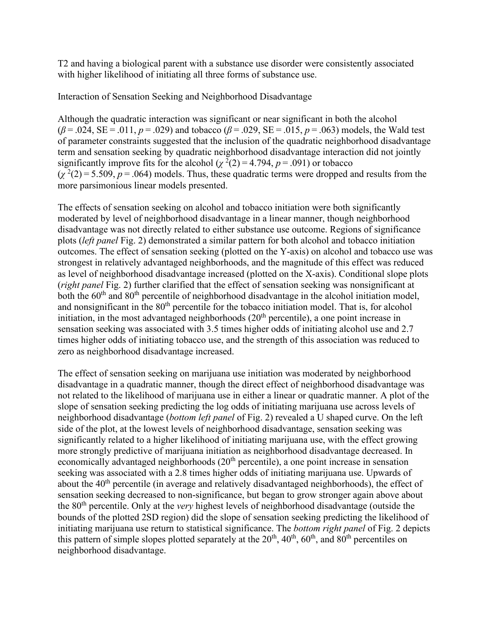T2 and having a biological parent with a substance use disorder were consistently associated with higher likelihood of initiating all three forms of substance use.

Interaction of Sensation Seeking and Neighborhood Disadvantage

Although the quadratic interaction was significant or near significant in both the alcohol (*β* = .024, SE = .011, *p* = .029) and tobacco (*β* = .029, SE = .015, *p* = .063) models, the Wald test of parameter constraints suggested that the inclusion of the quadratic neighborhood disadvantage term and sensation seeking by quadratic neighborhood disadvantage interaction did not jointly significantly improve fits for the alcohol ( $\chi^2(2) = 4.794$ ,  $p = .091$ ) or tobacco  $(\chi^2(2) = 5.509, p = .064)$  models. Thus, these quadratic terms were dropped and results from the more parsimonious linear models presented.

The effects of sensation seeking on alcohol and tobacco initiation were both significantly moderated by level of neighborhood disadvantage in a linear manner, though neighborhood disadvantage was not directly related to either substance use outcome. Regions of significance plots (*left panel* Fig. 2) demonstrated a similar pattern for both alcohol and tobacco initiation outcomes. The effect of sensation seeking (plotted on the Y-axis) on alcohol and tobacco use was strongest in relatively advantaged neighborhoods, and the magnitude of this effect was reduced as level of neighborhood disadvantage increased (plotted on the X-axis). Conditional slope plots (*right panel* Fig. 2) further clarified that the effect of sensation seeking was nonsignificant at both the  $60<sup>th</sup>$  and  $80<sup>th</sup>$  percentile of neighborhood disadvantage in the alcohol initiation model, and nonsignificant in the 80<sup>th</sup> percentile for the tobacco initiation model. That is, for alcohol initiation, in the most advantaged neighborhoods  $(20<sup>th</sup>$  percentile), a one point increase in sensation seeking was associated with 3.5 times higher odds of initiating alcohol use and 2.7 times higher odds of initiating tobacco use, and the strength of this association was reduced to zero as neighborhood disadvantage increased.

The effect of sensation seeking on marijuana use initiation was moderated by neighborhood disadvantage in a quadratic manner, though the direct effect of neighborhood disadvantage was not related to the likelihood of marijuana use in either a linear or quadratic manner. A plot of the slope of sensation seeking predicting the log odds of initiating marijuana use across levels of neighborhood disadvantage (*bottom left panel* of Fig. 2) revealed a U shaped curve. On the left side of the plot, at the lowest levels of neighborhood disadvantage, sensation seeking was significantly related to a higher likelihood of initiating marijuana use, with the effect growing more strongly predictive of marijuana initiation as neighborhood disadvantage decreased. In economically advantaged neighborhoods  $(20<sup>th</sup>$  percentile), a one point increase in sensation seeking was associated with a 2.8 times higher odds of initiating marijuana use. Upwards of about the  $40<sup>th</sup>$  percentile (in average and relatively disadvantaged neighborhoods), the effect of sensation seeking decreased to non-significance, but began to grow stronger again above about the 80th percentile. Only at the *very* highest levels of neighborhood disadvantage (outside the bounds of the plotted 2SD region) did the slope of sensation seeking predicting the likelihood of initiating marijuana use return to statistical significance. The *bottom right panel* of Fig. 2 depicts this pattern of simple slopes plotted separately at the  $20<sup>th</sup>$ ,  $40<sup>th</sup>$ ,  $60<sup>th</sup>$ , and  $80<sup>th</sup>$  percentiles on neighborhood disadvantage.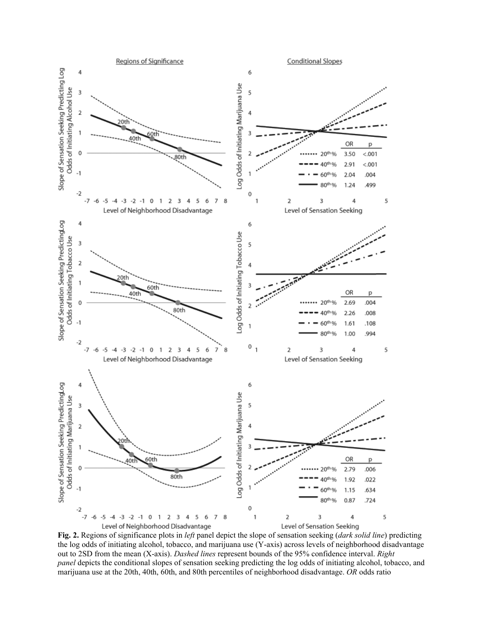

**Fig. 2.** Regions of significance plots in *left* panel depict the slope of sensation seeking (*dark solid line*) predicting the log odds of initiating alcohol, tobacco, and marijuana use (Y-axis) across levels of neighborhood disadvantage out to 2SD from the mean (X-axis). *Dashed lines* represent bounds of the 95% confidence interval. *Right panel* depicts the conditional slopes of sensation seeking predicting the log odds of initiating alcohol, tobacco, and marijuana use at the 20th, 40th, 60th, and 80th percentiles of neighborhood disadvantage. *OR* odds ratio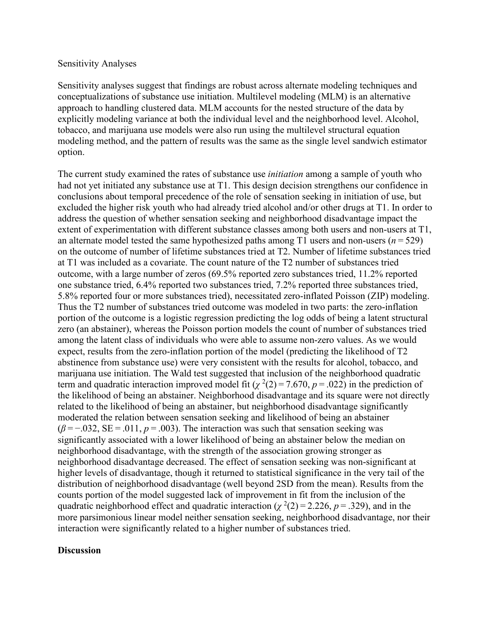#### Sensitivity Analyses

Sensitivity analyses suggest that findings are robust across alternate modeling techniques and conceptualizations of substance use initiation. Multilevel modeling (MLM) is an alternative approach to handling clustered data. MLM accounts for the nested structure of the data by explicitly modeling variance at both the individual level and the neighborhood level. Alcohol, tobacco, and marijuana use models were also run using the multilevel structural equation modeling method, and the pattern of results was the same as the single level sandwich estimator option.

The current study examined the rates of substance use *initiation* among a sample of youth who had not yet initiated any substance use at T1. This design decision strengthens our confidence in conclusions about temporal precedence of the role of sensation seeking in initiation of use, but excluded the higher risk youth who had already tried alcohol and/or other drugs at T1. In order to address the question of whether sensation seeking and neighborhood disadvantage impact the extent of experimentation with different substance classes among both users and non-users at T1, an alternate model tested the same hypothesized paths among T1 users and non-users  $(n = 529)$ on the outcome of number of lifetime substances tried at T2. Number of lifetime substances tried at T1 was included as a covariate. The count nature of the T2 number of substances tried outcome, with a large number of zeros (69.5% reported zero substances tried, 11.2% reported one substance tried, 6.4% reported two substances tried, 7.2% reported three substances tried, 5.8% reported four or more substances tried), necessitated zero-inflated Poisson (ZIP) modeling. Thus the T2 number of substances tried outcome was modeled in two parts: the zero-inflation portion of the outcome is a logistic regression predicting the log odds of being a latent structural zero (an abstainer), whereas the Poisson portion models the count of number of substances tried among the latent class of individuals who were able to assume non-zero values. As we would expect, results from the zero-inflation portion of the model (predicting the likelihood of T2 abstinence from substance use) were very consistent with the results for alcohol, tobacco, and marijuana use initiation. The Wald test suggested that inclusion of the neighborhood quadratic term and quadratic interaction improved model fit ( $\chi^2(2) = 7.670$ ,  $p = .022$ ) in the prediction of the likelihood of being an abstainer. Neighborhood disadvantage and its square were not directly related to the likelihood of being an abstainer, but neighborhood disadvantage significantly moderated the relation between sensation seeking and likelihood of being an abstainer  $(\beta = -0.032, \text{SE} = 0.011, p = 0.003)$ . The interaction was such that sensation seeking was significantly associated with a lower likelihood of being an abstainer below the median on neighborhood disadvantage, with the strength of the association growing stronger as neighborhood disadvantage decreased. The effect of sensation seeking was non-significant at higher levels of disadvantage, though it returned to statistical significance in the very tail of the distribution of neighborhood disadvantage (well beyond 2SD from the mean). Results from the counts portion of the model suggested lack of improvement in fit from the inclusion of the quadratic neighborhood effect and quadratic interaction ( $\chi^2(2) = 2.226$ ,  $p = .329$ ), and in the more parsimonious linear model neither sensation seeking, neighborhood disadvantage, nor their interaction were significantly related to a higher number of substances tried.

#### **Discussion**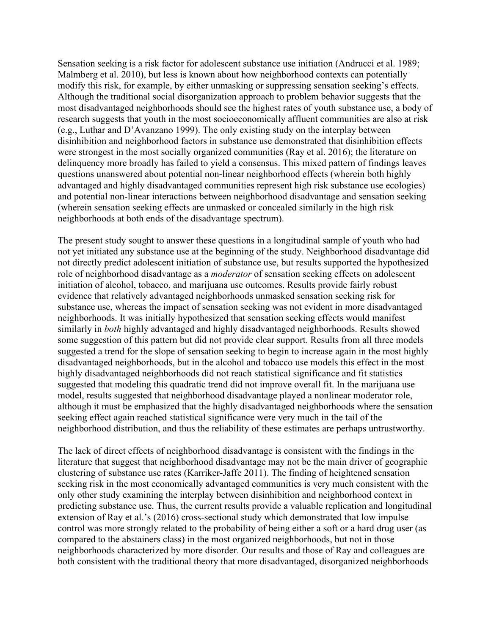Sensation seeking is a risk factor for adolescent substance use initiation (Andrucci et al. 1989; Malmberg et al. 2010), but less is known about how neighborhood contexts can potentially modify this risk, for example, by either unmasking or suppressing sensation seeking's effects. Although the traditional social disorganization approach to problem behavior suggests that the most disadvantaged neighborhoods should see the highest rates of youth substance use, a body of research suggests that youth in the most socioeconomically affluent communities are also at risk (e.g., Luthar and D'Avanzano 1999). The only existing study on the interplay between disinhibition and neighborhood factors in substance use demonstrated that disinhibition effects were strongest in the most socially organized communities (Ray et al. 2016); the literature on delinquency more broadly has failed to yield a consensus. This mixed pattern of findings leaves questions unanswered about potential non-linear neighborhood effects (wherein both highly advantaged and highly disadvantaged communities represent high risk substance use ecologies) and potential non-linear interactions between neighborhood disadvantage and sensation seeking (wherein sensation seeking effects are unmasked or concealed similarly in the high risk neighborhoods at both ends of the disadvantage spectrum).

The present study sought to answer these questions in a longitudinal sample of youth who had not yet initiated any substance use at the beginning of the study. Neighborhood disadvantage did not directly predict adolescent initiation of substance use, but results supported the hypothesized role of neighborhood disadvantage as a *moderator* of sensation seeking effects on adolescent initiation of alcohol, tobacco, and marijuana use outcomes. Results provide fairly robust evidence that relatively advantaged neighborhoods unmasked sensation seeking risk for substance use, whereas the impact of sensation seeking was not evident in more disadvantaged neighborhoods. It was initially hypothesized that sensation seeking effects would manifest similarly in *both* highly advantaged and highly disadvantaged neighborhoods. Results showed some suggestion of this pattern but did not provide clear support. Results from all three models suggested a trend for the slope of sensation seeking to begin to increase again in the most highly disadvantaged neighborhoods, but in the alcohol and tobacco use models this effect in the most highly disadvantaged neighborhoods did not reach statistical significance and fit statistics suggested that modeling this quadratic trend did not improve overall fit. In the marijuana use model, results suggested that neighborhood disadvantage played a nonlinear moderator role, although it must be emphasized that the highly disadvantaged neighborhoods where the sensation seeking effect again reached statistical significance were very much in the tail of the neighborhood distribution, and thus the reliability of these estimates are perhaps untrustworthy.

The lack of direct effects of neighborhood disadvantage is consistent with the findings in the literature that suggest that neighborhood disadvantage may not be the main driver of geographic clustering of substance use rates (Karriker-Jaffe 2011). The finding of heightened sensation seeking risk in the most economically advantaged communities is very much consistent with the only other study examining the interplay between disinhibition and neighborhood context in predicting substance use. Thus, the current results provide a valuable replication and longitudinal extension of Ray et al.'s (2016) cross-sectional study which demonstrated that low impulse control was more strongly related to the probability of being either a soft or a hard drug user (as compared to the abstainers class) in the most organized neighborhoods, but not in those neighborhoods characterized by more disorder. Our results and those of Ray and colleagues are both consistent with the traditional theory that more disadvantaged, disorganized neighborhoods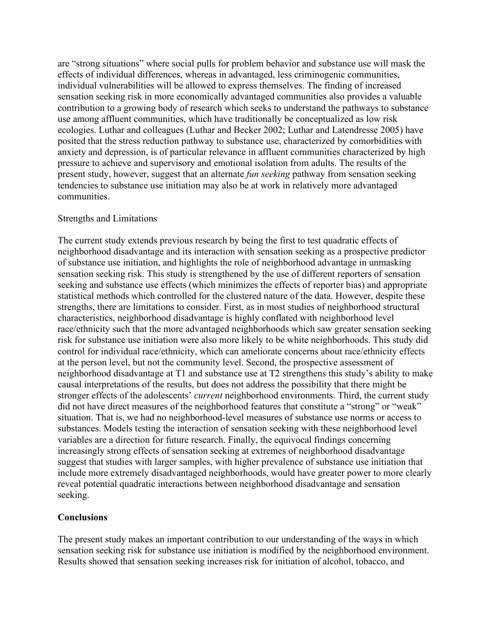are "strong situations" where social pulls for problem behavior and substance use will mask the effects of individual differences, whereas in advantaged, less criminogenic communities, individual vulnerabilities will be allowed to express themselves. The finding of increased sensation seeking risk in more economically advantaged communities also provides a valuable contribution to a growing body of research which seeks to understand the pathways to substance use among affluent communities, which have traditionally be conceptualized as low risk ecologies. Luthar and colleagues (Luthar and Becker 2002; Luthar and Latendresse 2005) have posited that the stress reduction pathway to substance use, characterized by comorbidities with anxiety and depression, is of particular relevance in affluent communities characterized by high pressure to achieve and supervisory and emotional isolation from adults. The results of the present study, however, suggest that an alternate *fun seeking* pathway from sensation seeking tendencies to substance use initiation may also be at work in relatively more advantaged communities.

## Strengths and Limitations

The current study extends previous research by being the first to test quadratic effects of neighborhood disadvantage and its interaction with sensation seeking as a prospective predictor of substance use initiation, and highlights the role of neighborhood advantage in unmasking sensation seeking risk. This study is strengthened by the use of different reporters of sensation seeking and substance use effects (which minimizes the effects of reporter bias) and appropriate statistical methods which controlled for the clustered nature of the data. However, despite these strengths, there are limitations to consider. First, as in most studies of neighborhood structural characteristics, neighborhood disadvantage is highly conflated with neighborhood level race/ethnicity such that the more advantaged neighborhoods which saw greater sensation seeking risk for substance use initiation were also more likely to be white neighborhoods. This study did control for individual race/ethnicity, which can ameliorate concerns about race/ethnicity effects at the person level, but not the community level. Second, the prospective assessment of neighborhood disadvantage at T1 and substance use at T2 strengthens this study's ability to make causal interpretations of the results, but does not address the possibility that there might be stronger effects of the adolescents' *current* neighborhood environments. Third, the current study did not have direct measures of the neighborhood features that constitute a "strong" or "weak" situation. That is, we had no neighborhood-level measures of substance use norms or access to substances. Models testing the interaction of sensation seeking with these neighborhood level variables are a direction for future research. Finally, the equivocal findings concerning increasingly strong effects of sensation seeking at extremes of neighborhood disadvantage suggest that studies with larger samples, with higher prevalence of substance use initiation that include more extremely disadvantaged neighborhoods, would have greater power to more clearly reveal potential quadratic interactions between neighborhood disadvantage and sensation seeking.

## **Conclusions**

The present study makes an important contribution to our understanding of the ways in which sensation seeking risk for substance use initiation is modified by the neighborhood environment. Results showed that sensation seeking increases risk for initiation of alcohol, tobacco, and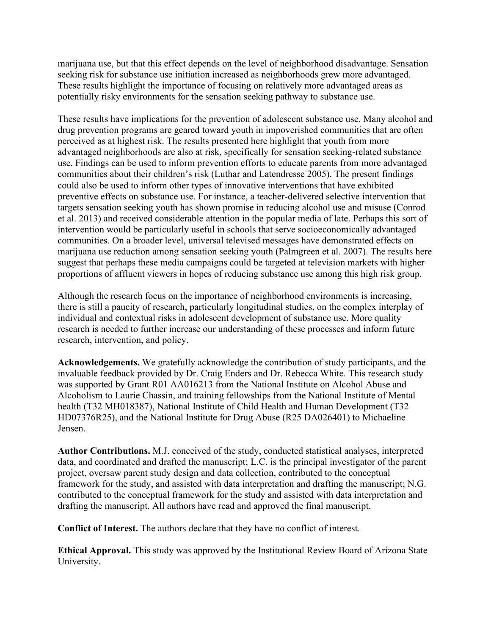marijuana use, but that this effect depends on the level of neighborhood disadvantage. Sensation seeking risk for substance use initiation increased as neighborhoods grew more advantaged. These results highlight the importance of focusing on relatively more advantaged areas as potentially risky environments for the sensation seeking pathway to substance use.

These results have implications for the prevention of adolescent substance use. Many alcohol and drug prevention programs are geared toward youth in impoverished communities that are often perceived as at highest risk. The results presented here highlight that youth from more advantaged neighborhoods are also at risk, specifically for sensation seeking-related substance use. Findings can be used to inform prevention efforts to educate parents from more advantaged communities about their children's risk (Luthar and Latendresse 2005). The present findings could also be used to inform other types of innovative interventions that have exhibited preventive effects on substance use. For instance, a teacher-delivered selective intervention that targets sensation seeking youth has shown promise in reducing alcohol use and misuse (Conrod et al. 2013) and received considerable attention in the popular media of late. Perhaps this sort of intervention would be particularly useful in schools that serve socioeconomically advantaged communities. On a broader level, universal televised messages have demonstrated effects on marijuana use reduction among sensation seeking youth (Palmgreen et al. 2007). The results here suggest that perhaps these media campaigns could be targeted at television markets with higher proportions of affluent viewers in hopes of reducing substance use among this high risk group.

Although the research focus on the importance of neighborhood environments is increasing, there is still a paucity of research, particularly longitudinal studies, on the complex interplay of individual and contextual risks in adolescent development of substance use. More quality research is needed to further increase our understanding of these processes and inform future research, intervention, and policy.

**Acknowledgements.** We gratefully acknowledge the contribution of study participants, and the invaluable feedback provided by Dr. Craig Enders and Dr. Rebecca White. This research study was supported by Grant R01 AA016213 from the National Institute on Alcohol Abuse and Alcoholism to Laurie Chassin, and training fellowships from the National Institute of Mental health (T32 MH018387), National Institute of Child Health and Human Development (T32 HD07376R25), and the National Institute for Drug Abuse (R25 DA026401) to Michaeline Jensen.

**Author Contributions.** M.J. conceived of the study, conducted statistical analyses, interpreted data, and coordinated and drafted the manuscript; L.C. is the principal investigator of the parent project, oversaw parent study design and data collection, contributed to the conceptual framework for the study, and assisted with data interpretation and drafting the manuscript; N.G. contributed to the conceptual framework for the study and assisted with data interpretation and drafting the manuscript. All authors have read and approved the final manuscript.

**Conflict of Interest.** The authors declare that they have no conflict of interest.

**Ethical Approval.** This study was approved by the Institutional Review Board of Arizona State University.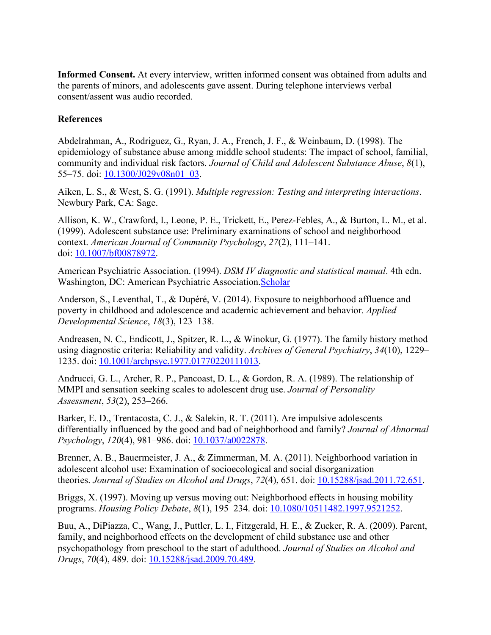**Informed Consent.** At every interview, written informed consent was obtained from adults and the parents of minors, and adolescents gave assent. During telephone interviews verbal consent/assent was audio recorded.

# **References**

Abdelrahman, A., Rodriguez, G., Ryan, J. A., French, J. F., & Weinbaum, D. (1998). The epidemiology of substance abuse among middle school students: The impact of school, familial, community and individual risk factors. *Journal of Child and Adolescent Substance Abuse*, *8*(1), 55–75. doi: [10.1300/J029v08n01\\_03.](https://doi.org/10.1300/J029v08n01_03)

Aiken, L. S., & West, S. G. (1991). *Multiple regression: Testing and interpreting interactions*. Newbury Park, CA: Sage.

Allison, K. W., Crawford, I., Leone, P. E., Trickett, E., Perez-Febles, A., & Burton, L. M., et al. (1999). Adolescent substance use: Preliminary examinations of school and neighborhood context. *American Journal of Community Psychology*, *27*(2), 111–141. doi: [10.1007/bf00878972.](https://doi.org/10.1007/bf00878972)

American Psychiatric Association. (1994). *DSM IV diagnostic and statistical manual*. 4th edn. Washington, DC: American Psychiatric Association. Scholar

Anderson, S., Leventhal, T., & Dupéré, V. (2014). Exposure to neighborhood affluence and poverty in childhood and adolescence and academic achievement and behavior. *Applied Developmental Science*, *18*(3), 123–138.

Andreasen, N. C., Endicott, J., Spitzer, R. L., & Winokur, G. (1977). The family history method using diagnostic criteria: Reliability and validity. *Archives of General Psychiatry*, *34*(10), 1229– 1235. doi: [10.1001/archpsyc.1977.01770220111013.](https://doi.org/10.1001/archpsyc.1977.01770220111013)

Andrucci, G. L., Archer, R. P., Pancoast, D. L., & Gordon, R. A. (1989). The relationship of MMPI and sensation seeking scales to adolescent drug use. *Journal of Personality Assessment*, *53*(2), 253–266.

Barker, E. D., Trentacosta, C. J., & Salekin, R. T. (2011). Are impulsive adolescents differentially influenced by the good and bad of neighborhood and family? *Journal of Abnormal Psychology*, *120*(4), 981–986. doi: [10.1037/a0022878.](https://doi.org/10.1037/a0022878)

Brenner, A. B., Bauermeister, J. A., & Zimmerman, M. A. (2011). Neighborhood variation in adolescent alcohol use: Examination of socioecological and social disorganization theories. *Journal of Studies on Alcohol and Drugs*, *72*(4), 651. doi: [10.15288/jsad.2011.72.651.](https://doi.org/10.15288/jsad.2011.72.651)

Briggs, X. (1997). Moving up versus moving out: Neighborhood effects in housing mobility programs. *Housing Policy Debate*, *8*(1), 195–234. doi: [10.1080/10511482.1997.9521252.](https://doi.org/10.1080/10511482.1997.9521252)

Buu, A., DiPiazza, C., Wang, J., Puttler, L. I., Fitzgerald, H. E., & Zucker, R. A. (2009). Parent, family, and neighborhood effects on the development of child substance use and other psychopathology from preschool to the start of adulthood. *Journal of Studies on Alcohol and Drugs*, *70*(4), 489. doi: [10.15288/jsad.2009.70.489.](https://doi.org/10.15288/jsad.2009.70.489)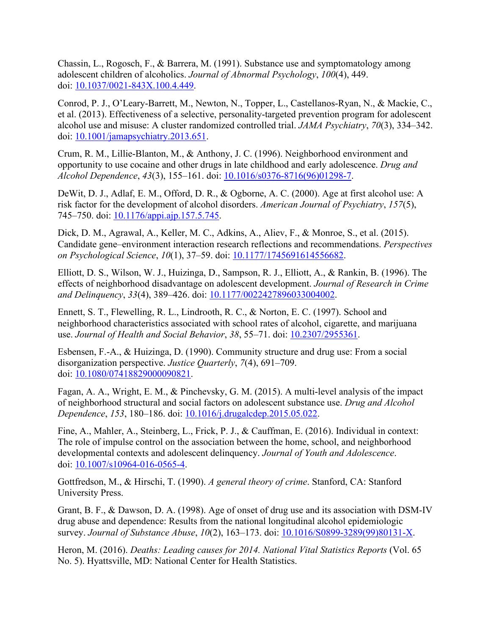Chassin, L., Rogosch, F., & Barrera, M. (1991). Substance use and symptomatology among adolescent children of alcoholics. *Journal of Abnormal Psychology*, *100*(4), 449. doi: [10.1037/0021-843X.100.4.449.](https://doi.org/10.1037/0021-843X.100.4.449)

Conrod, P. J., O'Leary-Barrett, M., Newton, N., Topper, L., Castellanos-Ryan, N., & Mackie, C., et al. (2013). Effectiveness of a selective, personality-targeted prevention program for adolescent alcohol use and misuse: A cluster randomized controlled trial. *JAMA Psychiatry*, *70*(3), 334–342. doi: [10.1001/jamapsychiatry.2013.651.](https://doi.org/10.1001/jamapsychiatry.2013.651)

Crum, R. M., Lillie-Blanton, M., & Anthony, J. C. (1996). Neighborhood environment and opportunity to use cocaine and other drugs in late childhood and early adolescence. *Drug and Alcohol Dependence*, *43*(3), 155–161. doi: [10.1016/s0376-8716\(96\)01298-7.](https://doi.org/10.1016/s0376-8716(96)01298-7)

DeWit, D. J., Adlaf, E. M., Offord, D. R., & Ogborne, A. C. (2000). Age at first alcohol use: A risk factor for the development of alcohol disorders. *American Journal of Psychiatry*, *157*(5), 745–750. doi: [10.1176/appi.ajp.157.5.745.](https://doi.org/10.1176/appi.ajp.157.5.745)

Dick, D. M., Agrawal, A., Keller, M. C., Adkins, A., Aliev, F., & Monroe, S., et al. (2015). Candidate gene–environment interaction research reflections and recommendations. *Perspectives on Psychological Science*, *10*(1), 37–59. doi: [10.1177/1745691614556682.](https://doi.org/10.1177/1745691614556682)

Elliott, D. S., Wilson, W. J., Huizinga, D., Sampson, R. J., Elliott, A., & Rankin, B. (1996). The effects of neighborhood disadvantage on adolescent development. *Journal of Research in Crime and Delinquency*, *33*(4), 389–426. doi: [10.1177/0022427896033004002.](https://doi.org/10.1177/0022427896033004002)

Ennett, S. T., Flewelling, R. L., Lindrooth, R. C., & Norton, E. C. (1997). School and neighborhood characteristics associated with school rates of alcohol, cigarette, and marijuana use. *Journal of Health and Social Behavior*, *38*, 55–71. doi: [10.2307/2955361.](https://doi.org/10.2307/2955361)

Esbensen, F.-A., & Huizinga, D. (1990). Community structure and drug use: From a social disorganization perspective. *Justice Quarterly*, *7*(4), 691–709. doi: [10.1080/07418829000090821.](https://doi.org/10.1080/07418829000090821)

Fagan, A. A., Wright, E. M., & Pinchevsky, G. M. (2015). A multi-level analysis of the impact of neighborhood structural and social factors on adolescent substance use. *Drug and Alcohol Dependence*, *153*, 180–186. doi: [10.1016/j.drugalcdep.2015.05.022.](https://doi.org/10.1016/j.drugalcdep.2015.05.022)

Fine, A., Mahler, A., Steinberg, L., Frick, P. J., & Cauffman, E. (2016). Individual in context: The role of impulse control on the association between the home, school, and neighborhood developmental contexts and adolescent delinquency. *Journal of Youth and Adolescence*. doi: [10.1007/s10964-016-0565-4.](https://doi.org/10.1007/s10964-016-0565-4)

Gottfredson, M., & Hirschi, T. (1990). *A general theory of crime*. Stanford, CA: Stanford University Press.

Grant, B. F., & Dawson, D. A. (1998). Age of onset of drug use and its association with DSM-IV drug abuse and dependence: Results from the national longitudinal alcohol epidemiologic survey. *Journal of Substance Abuse*, *10*(2), 163–173. doi: [10.1016/S0899-3289\(99\)80131-X.](https://doi.org/10.1016/S0899-3289(99)80131-X)

Heron, M. (2016). *Deaths: Leading causes for 2014. National Vital Statistics Reports* (Vol. 65 No. 5). Hyattsville, MD: National Center for Health Statistics.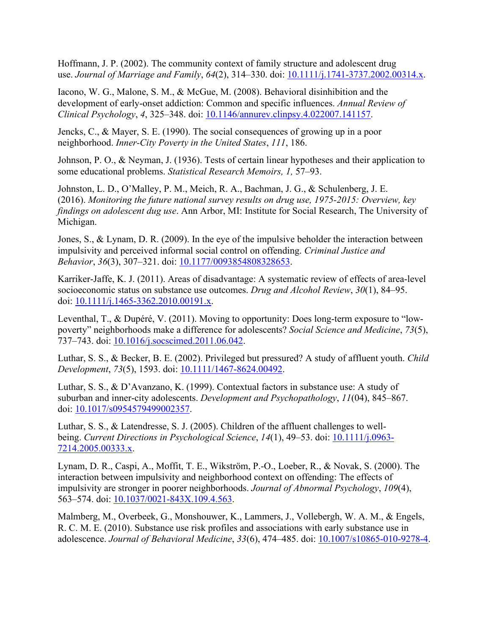Hoffmann, J. P. (2002). The community context of family structure and adolescent drug use. *Journal of Marriage and Family*, *64*(2), 314–330. doi: [10.1111/j.1741-3737.2002.00314.x.](https://doi.org/10.1111/j.1741-3737.2002.00314.x)

Iacono, W. G., Malone, S. M., & McGue, M. (2008). Behavioral disinhibition and the development of early-onset addiction: Common and specific influences. *Annual Review of Clinical Psychology*, *4*, 325–348. doi: [10.1146/annurev.clinpsy.4.022007.141157.](https://doi.org/10.1146/annurev.clinpsy.4.022007.141157)

Jencks, C., & Mayer, S. E. (1990). The social consequences of growing up in a poor neighborhood. *Inner-City Poverty in the United States*, *111*, 186.

Johnson, P. O., & Neyman, J. (1936). Tests of certain linear hypotheses and their application to some educational problems. *Statistical Research Memoirs, 1,* 57–93.

Johnston, L. D., O'Malley, P. M., Meich, R. A., Bachman, J. G., & Schulenberg, J. E. (2016). *Monitoring the future national survey results on drug use, 1975-2015: Overview, key findings on adolescent dug use*. Ann Arbor, MI: Institute for Social Research, The University of Michigan.

Jones, S., & Lynam, D. R. (2009). In the eye of the impulsive beholder the interaction between impulsivity and perceived informal social control on offending. *Criminal Justice and Behavior*, *36*(3), 307–321. doi: [10.1177/0093854808328653.](https://doi.org/10.1177/0093854808328653)

Karriker‐Jaffe, K. J. (2011). Areas of disadvantage: A systematic review of effects of area‐level socioeconomic status on substance use outcomes. *Drug and Alcohol Review*, *30*(1), 84–95. doi: [10.1111/j.1465-3362.2010.00191.x.](https://doi.org/10.1111/j.1465-3362.2010.00191.x)

Leventhal, T., & Dupéré, V. (2011). Moving to opportunity: Does long-term exposure to "lowpoverty" neighborhoods make a difference for adolescents? *Social Science and Medicine*, *73*(5), 737–743. doi: [10.1016/j.socscimed.2011.06.042.](https://doi.org/10.1016/j.socscimed.2011.06.042)

Luthar, S. S., & Becker, B. E. (2002). Privileged but pressured? A study of affluent youth. *Child Development*, *73*(5), 1593. doi: [10.1111/1467-8624.00492.](https://doi.org/10.1111/1467-8624.00492)

Luthar, S. S., & D'Avanzano, K. (1999). Contextual factors in substance use: A study of suburban and inner-city adolescents. *Development and Psychopathology*, *11*(04), 845–867. doi: [10.1017/s0954579499002357.](https://doi.org/10.1017/s0954579499002357)

Luthar, S. S., & Latendresse, S. J. (2005). Children of the affluent challenges to wellbeing. *Current Directions in Psychological Science*, *14*(1), 49–53. doi: [10.1111/j.0963-](https://doi.org/10.1111/j.0963-7214.2005.00333.x) [7214.2005.00333.x.](https://doi.org/10.1111/j.0963-7214.2005.00333.x)

Lynam, D. R., Caspi, A., Moffit, T. E., Wikström, P.-O., Loeber, R., & Novak, S. (2000). The interaction between impulsivity and neighborhood context on offending: The effects of impulsivity are stronger in poorer neighborhoods. *Journal of Abnormal Psychology*, *109*(4), 563–574. doi: [10.1037/0021-843X.109.4.563.](https://doi.org/10.1037/0021-843X.109.4.563)

Malmberg, M., Overbeek, G., Monshouwer, K., Lammers, J., Vollebergh, W. A. M., & Engels, R. C. M. E. (2010). Substance use risk profiles and associations with early substance use in adolescence. *Journal of Behavioral Medicine*, *33*(6), 474–485. doi: [10.1007/s10865-010-9278-4.](https://doi.org/10.1007/s10865-010-9278-4)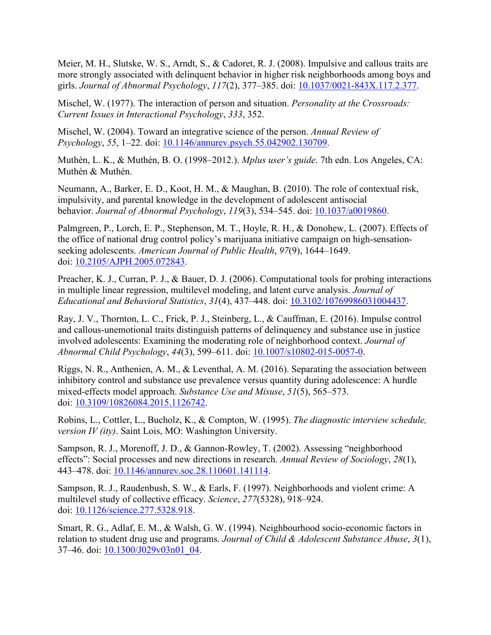Meier, M. H., Slutske, W. S., Arndt, S., & Cadoret, R. J. (2008). Impulsive and callous traits are more strongly associated with delinquent behavior in higher risk neighborhoods among boys and girls. *Journal of Abnormal Psychology*, *117*(2), 377–385. doi: [10.1037/0021-843X.117.2.377.](https://doi.org/10.1037/0021-843X.117.2.377)

Mischel, W. (1977). The interaction of person and situation. *Personality at the Crossroads: Current Issues in Interactional Psychology*, *333*, 352.

Mischel, W. (2004). Toward an integrative science of the person. *Annual Review of Psychology*, *55*, 1–22. doi: [10.1146/annurev.psych.55.042902.130709.](https://doi.org/10.1146/annurev.psych.55.042902.130709)

Muthén, L. K., & Muthén, B. O. (1998–2012.). *Mplus user's guide*. 7th edn. Los Angeles, CA: Muthén & Muthén.

Neumann, A., Barker, E. D., Koot, H. M., & Maughan, B. (2010). The role of contextual risk, impulsivity, and parental knowledge in the development of adolescent antisocial behavior. *Journal of Abnormal Psychology*, *119*(3), 534–545. doi: [10.1037/a0019860.](https://doi.org/10.1037/a0019860)

Palmgreen, P., Lorch, E. P., Stephenson, M. T., Hoyle, R. H., & Donohew, L. (2007). Effects of the office of national drug control policy's marijuana initiative campaign on high-sensationseeking adolescents. *American Journal of Public Health*, *97*(9), 1644–1649. doi: [10.2105/AJPH.2005.072843.](https://doi.org/10.2105/AJPH.2005.072843)

Preacher, K. J., Curran, P. J., & Bauer, D. J. (2006). Computational tools for probing interactions in multiple linear regression, multilevel modeling, and latent curve analysis. *Journal of Educational and Behavioral Statistics*, *31*(4), 437–448. doi: [10.3102/10769986031004437.](https://doi.org/10.3102/10769986031004437)

Ray, J. V., Thornton, L. C., Frick, P. J., Steinberg, L., & Cauffman, E. (2016). Impulse control and callous-unemotional traits distinguish patterns of delinquency and substance use in justice involved adolescents: Examining the moderating role of neighborhood context. *Journal of Abnormal Child Psychology*, *44*(3), 599–611. doi: [10.1007/s10802-015-0057-0.](https://doi.org/10.1007/s10802-015-0057-0)

Riggs, N. R., Anthenien, A. M., & Leventhal, A. M. (2016). Separating the association between inhibitory control and substance use prevalence versus quantity during adolescence: A hurdle mixed-effects model approach. *Substance Use and Misuse*, *51*(5), 565–573. doi: [10.3109/10826084.2015.1126742.](https://doi.org/10.3109/10826084.2015.1126742)

Robins, L., Cottler, L., Bucholz, K., & Compton, W. (1995). *The diagnostic interview schedule, version IV (ity)*. Saint Lois, MO: Washington University.

Sampson, R. J., Morenoff, J. D., & Gannon-Rowley, T. (2002). Assessing "neighborhood effects": Social processes and new directions in research. *Annual Review of Sociology*, *28*(1), 443–478. doi: [10.1146/annurev.soc.28.110601.141114.](https://doi.org/10.1146/annurev.soc.28.110601.141114)

Sampson, R. J., Raudenbush, S. W., & Earls, F. (1997). Neighborhoods and violent crime: A multilevel study of collective efficacy. *Science*, *277*(5328), 918–924. doi: [10.1126/science.277.5328.918.](https://doi.org/10.1126/science.277.5328.918)

Smart, R. G., Adlaf, E. M., & Walsh, G. W. (1994). Neighbourhood socio-economic factors in relation to student drug use and programs. *Journal of Child & Adolescent Substance Abuse*, *3*(1), 37–46. doi: [10.1300/J029v03n01\\_04.](https://doi.org/10.1300/J029v03n01_04)